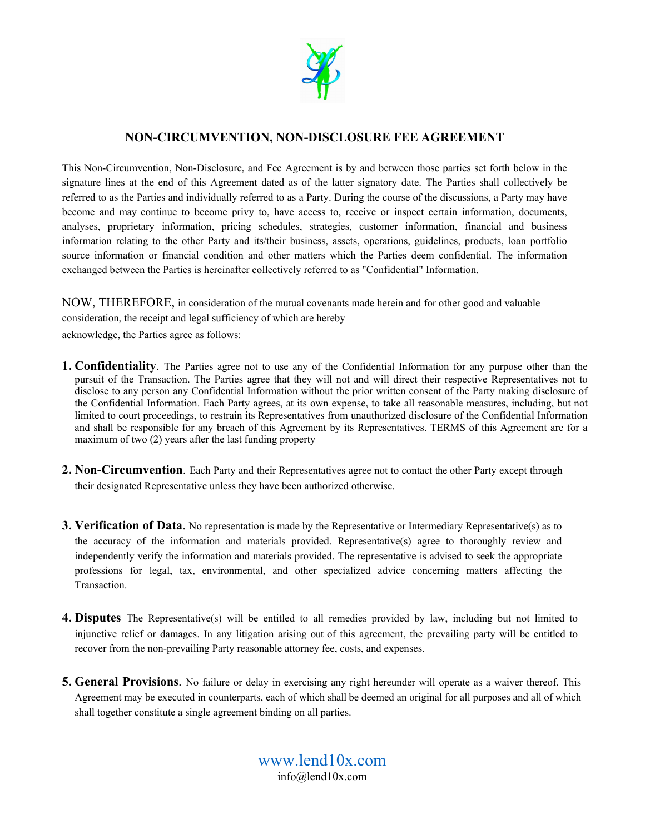

## **NON-CIRCUMVENTION, NON-DISCLOSURE FEE AGREEMENT**

This Non-Circumvention, Non-Disclosure, and Fee Agreement is by and between those parties set forth below in the signature lines at the end of this Agreement dated as of the latter signatory date. The Parties shall collectively be referred to as the Parties and individually referred to as a Party. During the course of the discussions, a Party may have become and may continue to become privy to, have access to, receive or inspect certain information, documents, analyses, proprietary information, pricing schedules, strategies, customer information, financial and business information relating to the other Party and its/their business, assets, operations, guidelines, products, loan portfolio source information or financial condition and other matters which the Parties deem confidential. The information exchanged between the Parties is hereinafter collectively referred to as "Confidential" Information.

NOW, THEREFORE, in consideration of the mutual covenants made herein and for other good and valuable consideration, the receipt and legal sufficiency of which are hereby acknowledge, the Parties agree as follows:

- **1. Confidentiality**. The Parties agree not to use any of the Confidential Information for any purpose other than the pursuit of the Transaction. The Parties agree that they will not and will direct their respective Representatives not to disclose to any person any Confidential Information without the prior written consent of the Party making disclosure of the Confidential Information. Each Party agrees, at its own expense, to take all reasonable measures, including, but not limited to court proceedings, to restrain its Representatives from unauthorized disclosure of the Confidential Information and shall be responsible for any breach of this Agreement by its Representatives. TERMS of this Agreement are for a maximum of two (2) years after the last funding property
- **2. Non-Circumvention**. Each Party and their Representatives agree not to contact the other Party except through their designated Representative unless they have been authorized otherwise.
- **3. Verification of Data**. No representation is made by the Representative or Intermediary Representative(s) as to the accuracy of the information and materials provided. Representative(s) agree to thoroughly review and independently verify the information and materials provided. The representative is advised to seek the appropriate professions for legal, tax, environmental, and other specialized advice concerning matters affecting the Transaction.
- **4. Disputes** The Representative(s) will be entitled to all remedies provided by law, including but not limited to injunctive relief or damages. In any litigation arising out of this agreement, the prevailing party will be entitled to recover from the non-prevailing Party reasonable attorney fee, costs, and expenses.
- **5. General Provisions**. No failure or delay in exercising any right hereunder will operate as a waiver thereof. This Agreement may be executed in counterparts, each of which shall be deemed an original for all purposes and all of which shall together constitute a single agreement binding on all parties.

[www.lend10x.com](http://www.lend10x.com/) info@lend10x.com